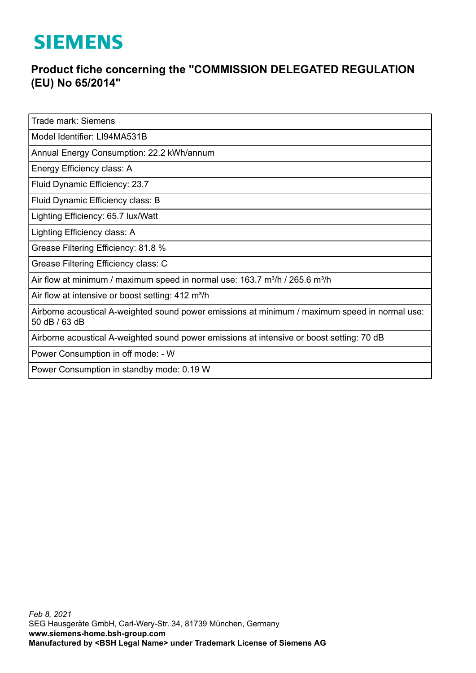## **SIEMENS**

## **Product fiche concerning the "COMMISSION DELEGATED REGULATION (EU) No 65/2014"**

Trade mark: Siemens

Model Identifier: LI94MA531B

Annual Energy Consumption: 22.2 kWh/annum

Energy Efficiency class: A

Fluid Dynamic Efficiency: 23.7

Fluid Dynamic Efficiency class: B

Lighting Efficiency: 65.7 lux/Watt

Lighting Efficiency class: A

Grease Filtering Efficiency: 81.8 %

Grease Filtering Efficiency class: C

Air flow at minimum / maximum speed in normal use: 163.7 m<sup>3</sup>/h / 265.6 m<sup>3</sup>/h

Air flow at intensive or boost setting:  $412 \text{ m}^3/\text{h}$ 

Airborne acoustical A-weighted sound power emissions at minimum / maximum speed in normal use: 50 dB / 63 dB

Airborne acoustical A-weighted sound power emissions at intensive or boost setting: 70 dB

Power Consumption in off mode: - W

Power Consumption in standby mode: 0.19 W